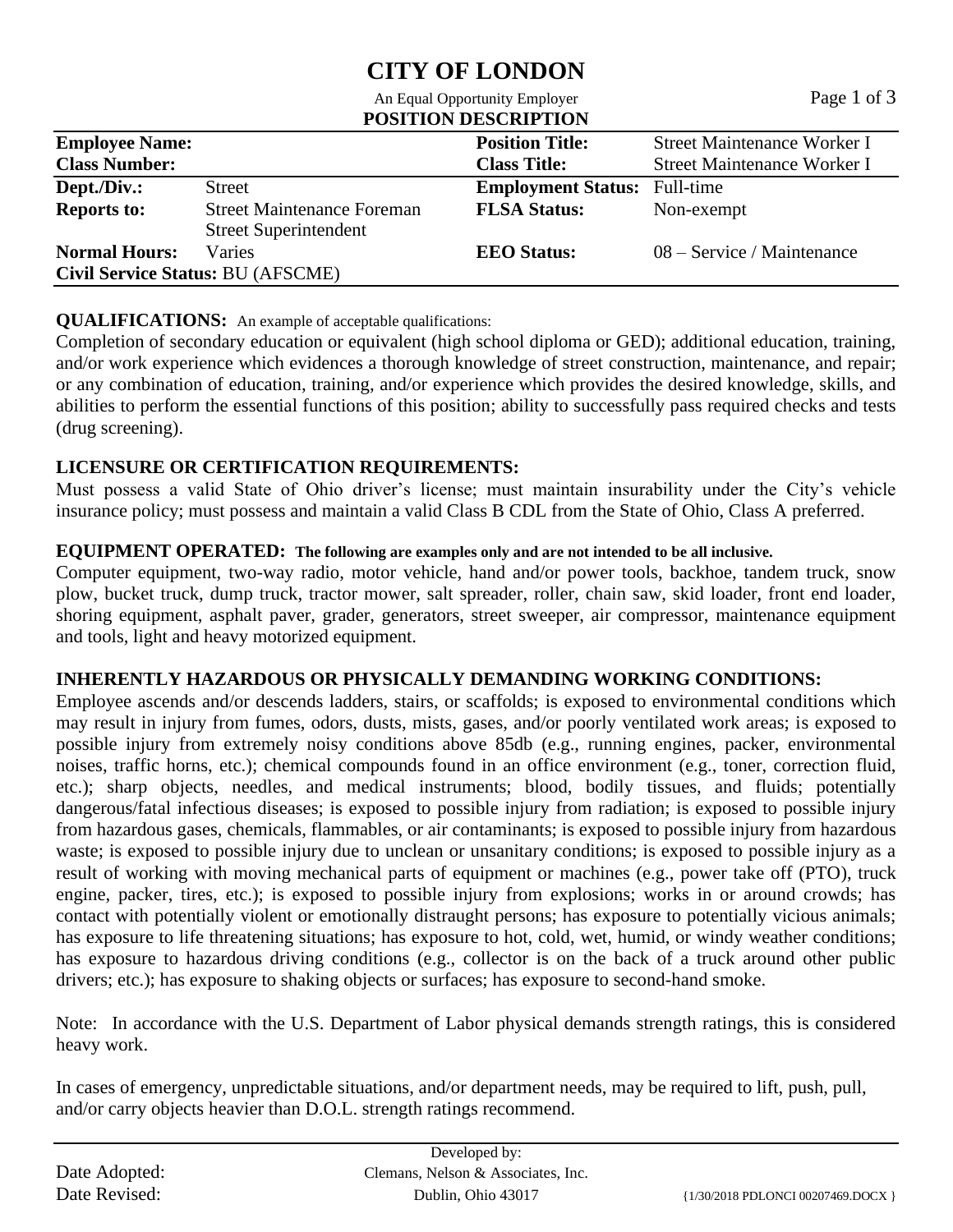## **CITY OF LONDON** An Equal Opportunity Employer Page 1 of 3

|                                                                   | All Equal Opportunity Employer                             | $1$ aguel UI J                     |  |  |  |  |
|-------------------------------------------------------------------|------------------------------------------------------------|------------------------------------|--|--|--|--|
| <b>POSITION DESCRIPTION</b>                                       |                                                            |                                    |  |  |  |  |
|                                                                   | <b>Position Title:</b>                                     | Street Maintenance Worker I        |  |  |  |  |
|                                                                   | <b>Class Title:</b>                                        | <b>Street Maintenance Worker I</b> |  |  |  |  |
| Street                                                            | <b>Employment Status:</b> Full-time                        |                                    |  |  |  |  |
| <b>Street Maintenance Foreman</b><br><b>Street Superintendent</b> | <b>FLSA Status:</b>                                        | Non-exempt                         |  |  |  |  |
| Varies                                                            | <b>EEO</b> Status:                                         | $08 -$ Service / Maintenance       |  |  |  |  |
|                                                                   | <b>Employee Name:</b><br>Civil Service Status: BU (AFSCME) |                                    |  |  |  |  |

## **QUALIFICATIONS:** An example of acceptable qualifications:

Completion of secondary education or equivalent (high school diploma or GED); additional education, training, and/or work experience which evidences a thorough knowledge of street construction, maintenance, and repair; or any combination of education, training, and/or experience which provides the desired knowledge, skills, and abilities to perform the essential functions of this position; ability to successfully pass required checks and tests (drug screening).

## **LICENSURE OR CERTIFICATION REQUIREMENTS:**

Must possess a valid State of Ohio driver's license; must maintain insurability under the City's vehicle insurance policy; must possess and maintain a valid Class B CDL from the State of Ohio, Class A preferred.

## **EQUIPMENT OPERATED: The following are examples only and are not intended to be all inclusive.**

Computer equipment, two-way radio, motor vehicle, hand and/or power tools, backhoe, tandem truck, snow plow, bucket truck, dump truck, tractor mower, salt spreader, roller, chain saw, skid loader, front end loader, shoring equipment, asphalt paver, grader, generators, street sweeper, air compressor, maintenance equipment and tools, light and heavy motorized equipment.

## **INHERENTLY HAZARDOUS OR PHYSICALLY DEMANDING WORKING CONDITIONS:**

Employee ascends and/or descends ladders, stairs, or scaffolds; is exposed to environmental conditions which may result in injury from fumes, odors, dusts, mists, gases, and/or poorly ventilated work areas; is exposed to possible injury from extremely noisy conditions above 85db (e.g., running engines, packer, environmental noises, traffic horns, etc.); chemical compounds found in an office environment (e.g., toner, correction fluid, etc.); sharp objects, needles, and medical instruments; blood, bodily tissues, and fluids; potentially dangerous/fatal infectious diseases; is exposed to possible injury from radiation; is exposed to possible injury from hazardous gases, chemicals, flammables, or air contaminants; is exposed to possible injury from hazardous waste; is exposed to possible injury due to unclean or unsanitary conditions; is exposed to possible injury as a result of working with moving mechanical parts of equipment or machines (e.g., power take off (PTO), truck engine, packer, tires, etc.); is exposed to possible injury from explosions; works in or around crowds; has contact with potentially violent or emotionally distraught persons; has exposure to potentially vicious animals; has exposure to life threatening situations; has exposure to hot, cold, wet, humid, or windy weather conditions; has exposure to hazardous driving conditions (e.g., collector is on the back of a truck around other public drivers; etc.); has exposure to shaking objects or surfaces; has exposure to second-hand smoke.

Note: In accordance with the U.S. Department of Labor physical demands strength ratings, this is considered heavy work.

In cases of emergency, unpredictable situations, and/or department needs, may be required to lift, push, pull, and/or carry objects heavier than D.O.L. strength ratings recommend.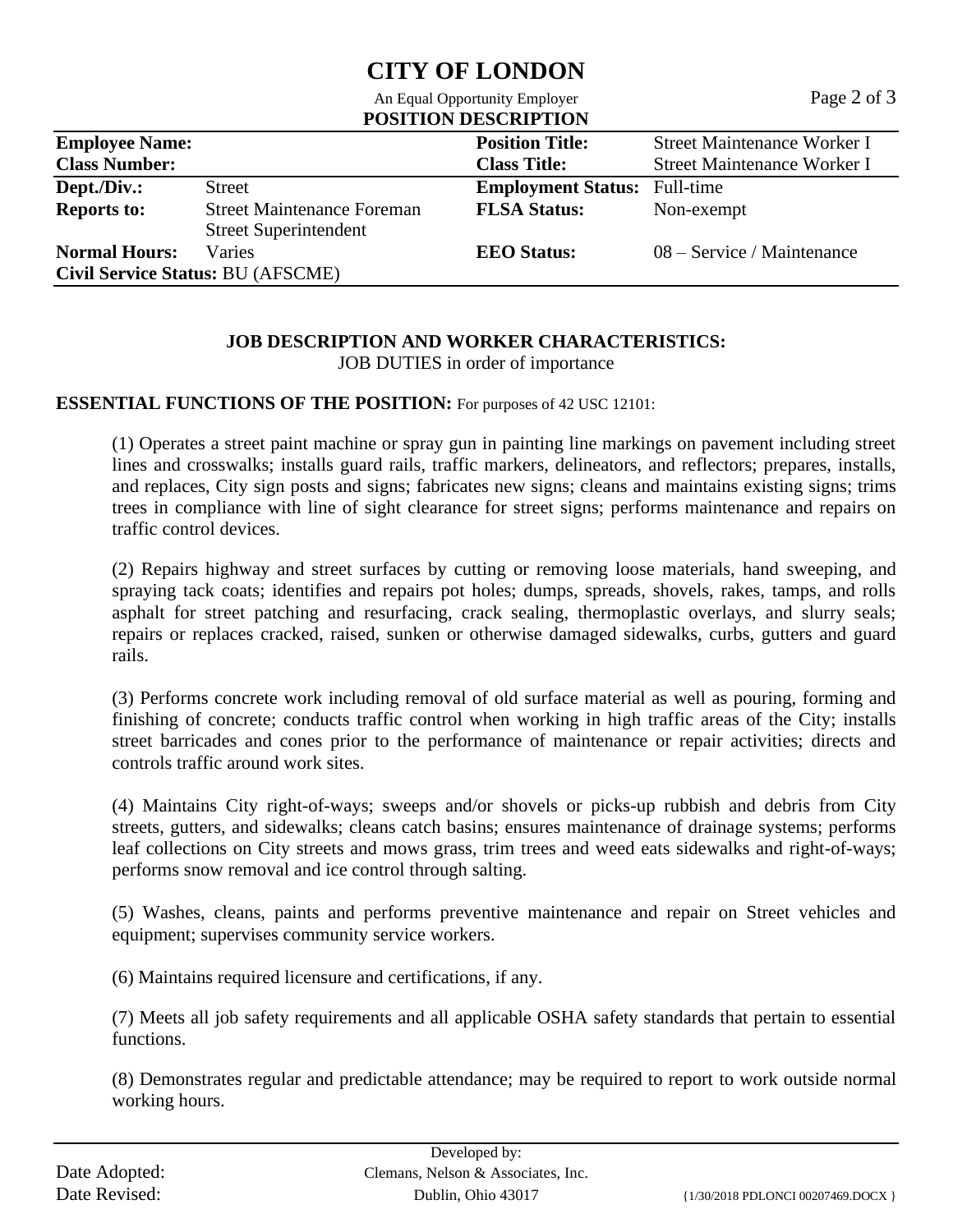# **CITY OF LONDON**

|                                                                                |                                                                   | An Equal Opportunity Employer<br><b>POSITION DESCRIPTION</b> | Page 2 of 3                 |  |  |
|--------------------------------------------------------------------------------|-------------------------------------------------------------------|--------------------------------------------------------------|-----------------------------|--|--|
| <b>Employee Name:</b><br><b>Position Title:</b><br>Street Maintenance Worker I |                                                                   |                                                              |                             |  |  |
| <b>Class Number:</b>                                                           |                                                                   | <b>Class Title:</b>                                          | Street Maintenance Worker I |  |  |
| Dept./Div.:                                                                    | <b>Street</b>                                                     | <b>Employment Status:</b> Full-time                          |                             |  |  |
| <b>Reports to:</b>                                                             | <b>Street Maintenance Foreman</b><br><b>Street Superintendent</b> | <b>FLSA Status:</b>                                          | Non-exempt                  |  |  |
| <b>Normal Hours:</b>                                                           | Varies<br>Civil Service Status: BU (AFSCME)                       | <b>EEO</b> Status:                                           | 08 – Service / Maintenance  |  |  |

## **JOB DESCRIPTION AND WORKER CHARACTERISTICS:**

JOB DUTIES in order of importance

## **ESSENTIAL FUNCTIONS OF THE POSITION:** For purposes of 42 USC 12101:

(1) Operates a street paint machine or spray gun in painting line markings on pavement including street lines and crosswalks; installs guard rails, traffic markers, delineators, and reflectors; prepares, installs, and replaces, City sign posts and signs; fabricates new signs; cleans and maintains existing signs; trims trees in compliance with line of sight clearance for street signs; performs maintenance and repairs on traffic control devices.

(2) Repairs highway and street surfaces by cutting or removing loose materials, hand sweeping, and spraying tack coats; identifies and repairs pot holes; dumps, spreads, shovels, rakes, tamps, and rolls asphalt for street patching and resurfacing, crack sealing, thermoplastic overlays, and slurry seals; repairs or replaces cracked, raised, sunken or otherwise damaged sidewalks, curbs, gutters and guard rails.

(3) Performs concrete work including removal of old surface material as well as pouring, forming and finishing of concrete; conducts traffic control when working in high traffic areas of the City; installs street barricades and cones prior to the performance of maintenance or repair activities; directs and controls traffic around work sites.

(4) Maintains City right-of-ways; sweeps and/or shovels or picks-up rubbish and debris from City streets, gutters, and sidewalks; cleans catch basins; ensures maintenance of drainage systems; performs leaf collections on City streets and mows grass, trim trees and weed eats sidewalks and right-of-ways; performs snow removal and ice control through salting.

(5) Washes, cleans, paints and performs preventive maintenance and repair on Street vehicles and equipment; supervises community service workers.

(6) Maintains required licensure and certifications, if any.

(7) Meets all job safety requirements and all applicable OSHA safety standards that pertain to essential functions.

(8) Demonstrates regular and predictable attendance; may be required to report to work outside normal working hours.